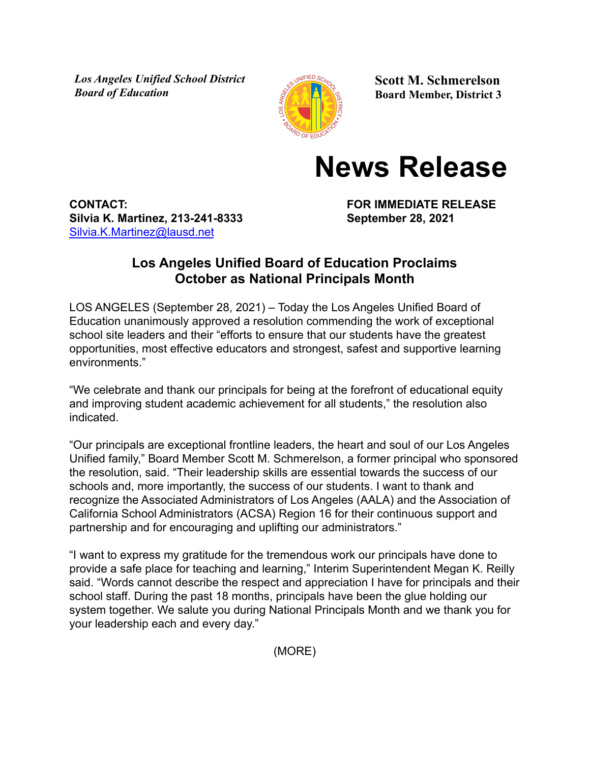*Los Angeles Unified School District Board of Education*



**Scott M. Schmerelson Board Member, District 3**

## **News Release**

**CONTACT: FOR IMMEDIATE RELEASE Silvia K. Martinez, 213-241-8333 September 28, 2021** [Silvia.K.Martinez@lausd.net](mailto:Silvia.K.Martinez@lausd.net)

## **Los Angeles Unified Board of Education Proclaims October as National Principals Month**

LOS ANGELES (September 28, 2021) – Today the Los Angeles Unified Board of Education unanimously approved a resolution commending the work of exceptional school site leaders and their "efforts to ensure that our students have the greatest opportunities, most effective educators and strongest, safest and supportive learning environments."

"We celebrate and thank our principals for being at the forefront of educational equity and improving student academic achievement for all students," the resolution also indicated.

"Our principals are exceptional frontline leaders, the heart and soul of our Los Angeles Unified family," Board Member Scott M. Schmerelson, a former principal who sponsored the resolution, said. "Their leadership skills are essential towards the success of our schools and, more importantly, the success of our students. I want to thank and recognize the Associated Administrators of Los Angeles (AALA) and the Association of California School Administrators (ACSA) Region 16 for their continuous support and partnership and for encouraging and uplifting our administrators."

"I want to express my gratitude for the tremendous work our principals have done to provide a safe place for teaching and learning," Interim Superintendent Megan K. Reilly said. "Words cannot describe the respect and appreciation I have for principals and their school staff. During the past 18 months, principals have been the glue holding our system together. We salute you during National Principals Month and we thank you for your leadership each and every day."

(MORE)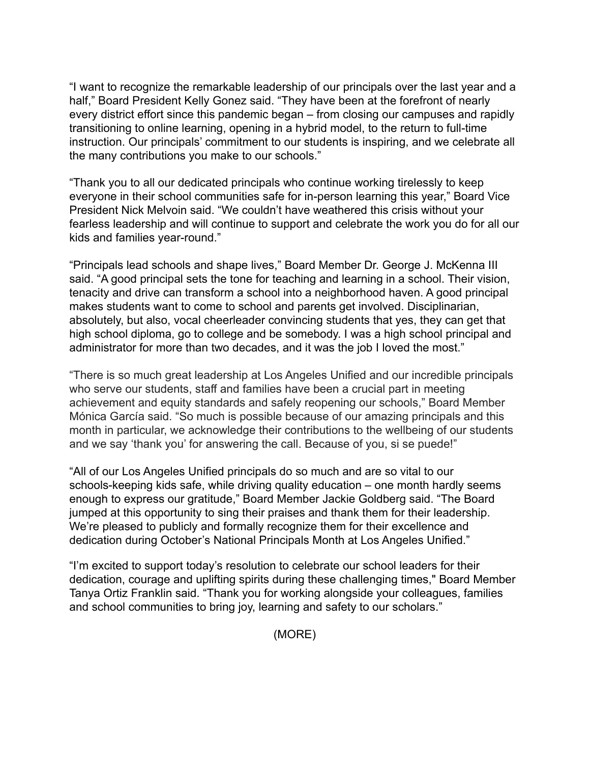"I want to recognize the remarkable leadership of our principals over the last year and a half," Board President Kelly Gonez said. "They have been at the forefront of nearly every district effort since this pandemic began – from closing our campuses and rapidly transitioning to online learning, opening in a hybrid model, to the return to full-time instruction. Our principals' commitment to our students is inspiring, and we celebrate all the many contributions you make to our schools."

"Thank you to all our dedicated principals who continue working tirelessly to keep everyone in their school communities safe for in-person learning this year," Board Vice President Nick Melvoin said. "We couldn't have weathered this crisis without your fearless leadership and will continue to support and celebrate the work you do for all our kids and families year-round."

"Principals lead schools and shape lives," Board Member Dr. George J. McKenna III said. "A good principal sets the tone for teaching and learning in a school. Their vision, tenacity and drive can transform a school into a neighborhood haven. A good principal makes students want to come to school and parents get involved. Disciplinarian, absolutely, but also, vocal cheerleader convincing students that yes, they can get that high school diploma, go to college and be somebody. I was a high school principal and administrator for more than two decades, and it was the job I loved the most."

"There is so much great leadership at Los Angeles Unified and our incredible principals who serve our students, staff and families have been a crucial part in meeting achievement and equity standards and safely reopening our schools," Board Member Mónica García said. "So much is possible because of our amazing principals and this month in particular, we acknowledge their contributions to the wellbeing of our students and we say 'thank you' for answering the call. Because of you, si se puede!"

"All of our Los Angeles Unified principals do so much and are so vital to our schools-keeping kids safe, while driving quality education – one month hardly seems enough to express our gratitude," Board Member Jackie Goldberg said. "The Board jumped at this opportunity to sing their praises and thank them for their leadership. We're pleased to publicly and formally recognize them for their excellence and dedication during October's National Principals Month at Los Angeles Unified."

"I'm excited to support today's resolution to celebrate our school leaders for their dedication, courage and uplifting spirits during these challenging times," Board Member Tanya Ortiz Franklin said. "Thank you for working alongside your colleagues, families and school communities to bring joy, learning and safety to our scholars."

(MORE)